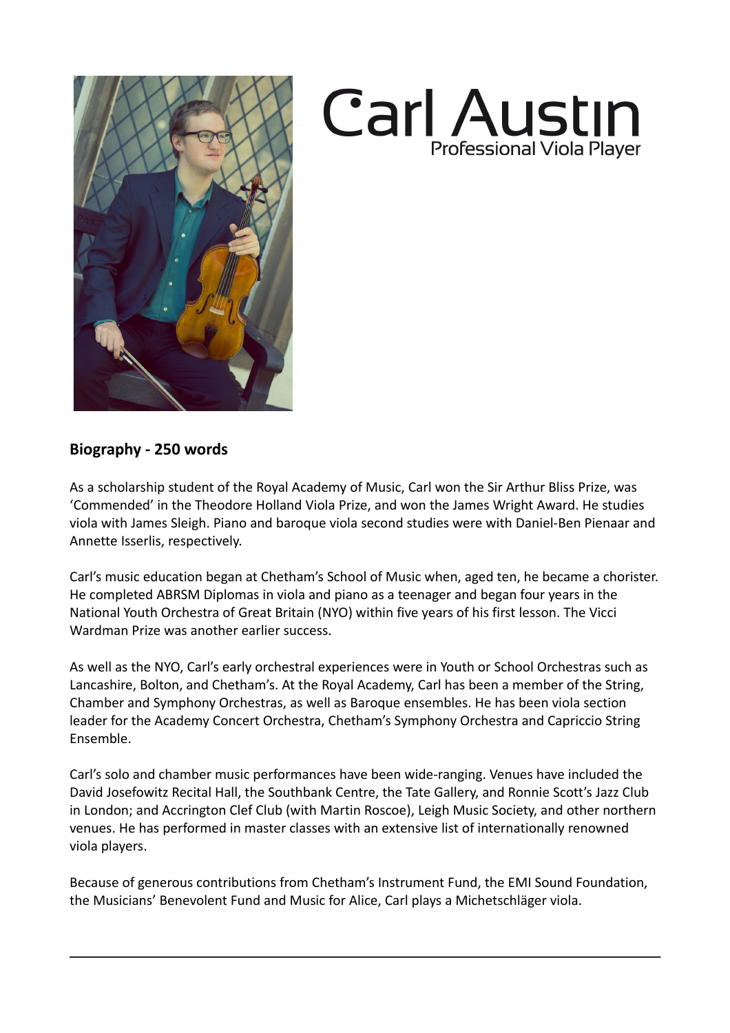



## **Biography - 250 words**

As a scholarship student of the Royal Academy of Music, Carl won the Sir Arthur Bliss Prize, was 'Commended' in the Theodore Holland Viola Prize, and won the James Wright Award. He studies viola with James Sleigh. Piano and baroque viola second studies were with Daniel-Ben Pienaar and Annette Isserlis, respectively.

Carl's music education began at Chetham's School of Music when, aged ten, he became a chorister. He completed ABRSM Diplomas in viola and piano as a teenager and began four years in the National Youth Orchestra of Great Britain (NYO) within five years of his first lesson. The Vicci Wardman Prize was another earlier success.

As well as the NYO, Carl's early orchestral experiences were in Youth or School Orchestras such as Lancashire, Bolton, and Chetham's. At the Royal Academy, Carl has been a member of the String, Chamber and Symphony Orchestras, as well as Baroque ensembles. He has been viola section leader for the Academy Concert Orchestra, Chetham's Symphony Orchestra and Capriccio String Ensemble.

Carl's solo and chamber music performances have been wide-ranging. Venues have included the David Josefowitz Recital Hall, the Southbank Centre, the Tate Gallery, and Ronnie Scott's Jazz Club in London; and Accrington Clef Club (with Martin Roscoe), Leigh Music Society, and other northern venues. He has performed in master classes with an extensive list of internationally renowned viola players.

Because of generous contributions from Chetham's Instrument Fund, the EMI Sound Foundation, the Musicians' Benevolent Fund and Music for Alice, Carl plays a Michetschläger viola.